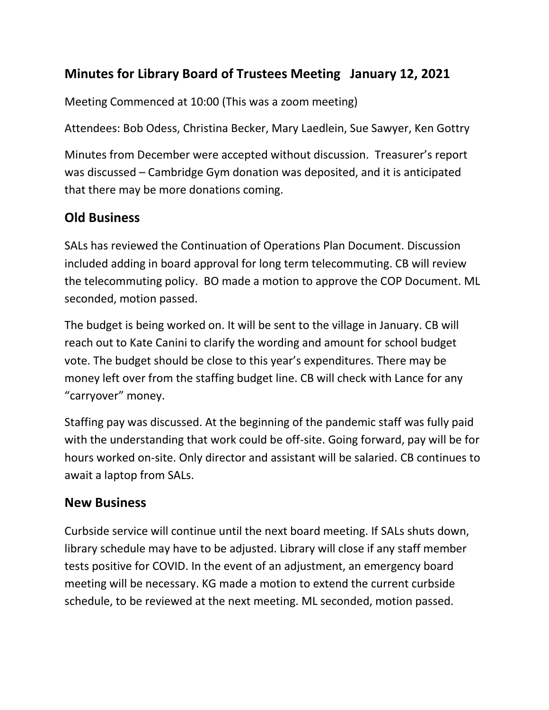## **Minutes for Library Board of Trustees Meeting January 12, 2021**

Meeting Commenced at 10:00 (This was a zoom meeting)

Attendees: Bob Odess, Christina Becker, Mary Laedlein, Sue Sawyer, Ken Gottry

Minutes from December were accepted without discussion. Treasurer's report was discussed – Cambridge Gym donation was deposited, and it is anticipated that there may be more donations coming.

## **Old Business**

SALs has reviewed the Continuation of Operations Plan Document. Discussion included adding in board approval for long term telecommuting. CB will review the telecommuting policy. BO made a motion to approve the COP Document. ML seconded, motion passed.

The budget is being worked on. It will be sent to the village in January. CB will reach out to Kate Canini to clarify the wording and amount for school budget vote. The budget should be close to this year's expenditures. There may be money left over from the staffing budget line. CB will check with Lance for any "carryover" money.

Staffing pay was discussed. At the beginning of the pandemic staff was fully paid with the understanding that work could be off-site. Going forward, pay will be for hours worked on-site. Only director and assistant will be salaried. CB continues to await a laptop from SALs.

## **New Business**

Curbside service will continue until the next board meeting. If SALs shuts down, library schedule may have to be adjusted. Library will close if any staff member tests positive for COVID. In the event of an adjustment, an emergency board meeting will be necessary. KG made a motion to extend the current curbside schedule, to be reviewed at the next meeting. ML seconded, motion passed.